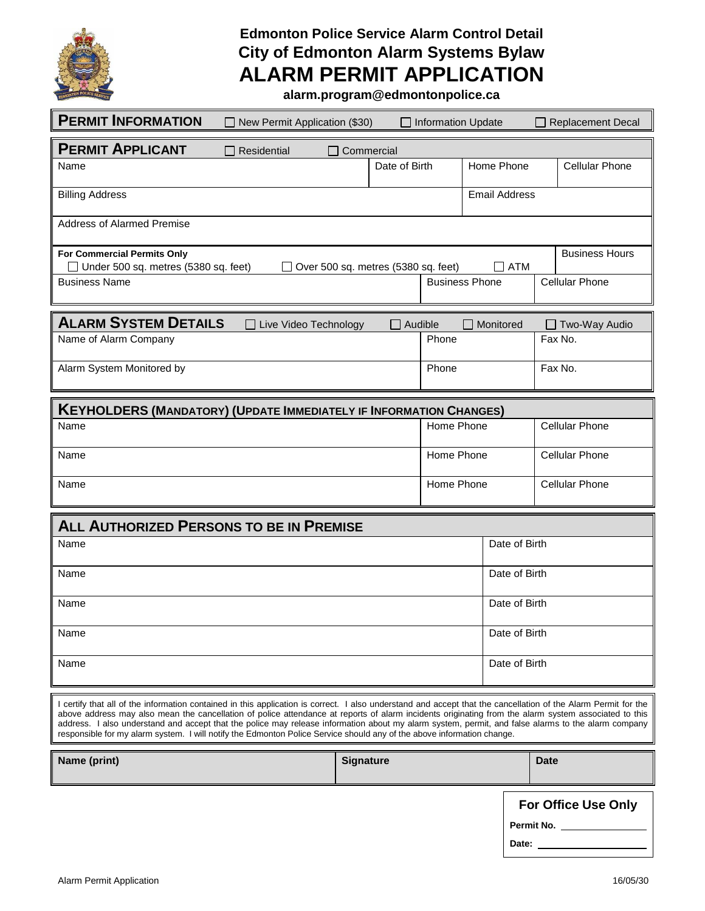

# **Edmonton Police Service Alarm Control Detail City of Edmonton Alarm Systems Bylaw ALARM PERMIT APPLICATION**

**alarm.program@edmontonpolice.ca**

| <b>PERMIT INFORMATION</b><br>New Permit Application (\$30)                                                                                                                                                                                                                                                                                                                                                                                                                                                                                                                                             |                                     | $\Box$ Information Update |                      | <b>Replacement Decal</b> |  |  |  |
|--------------------------------------------------------------------------------------------------------------------------------------------------------------------------------------------------------------------------------------------------------------------------------------------------------------------------------------------------------------------------------------------------------------------------------------------------------------------------------------------------------------------------------------------------------------------------------------------------------|-------------------------------------|---------------------------|----------------------|--------------------------|--|--|--|
| <b>PERMIT APPLICANT</b><br>Residential<br>Commercial                                                                                                                                                                                                                                                                                                                                                                                                                                                                                                                                                   |                                     |                           |                      |                          |  |  |  |
| Name                                                                                                                                                                                                                                                                                                                                                                                                                                                                                                                                                                                                   | Date of Birth                       |                           | Home Phone           | <b>Cellular Phone</b>    |  |  |  |
| <b>Billing Address</b>                                                                                                                                                                                                                                                                                                                                                                                                                                                                                                                                                                                 |                                     |                           | <b>Email Address</b> |                          |  |  |  |
| <b>Address of Alarmed Premise</b>                                                                                                                                                                                                                                                                                                                                                                                                                                                                                                                                                                      |                                     |                           |                      |                          |  |  |  |
| For Commercial Permits Only<br>Under 500 sq. metres (5380 sq. feet)                                                                                                                                                                                                                                                                                                                                                                                                                                                                                                                                    | Over 500 sq. metres (5380 sq. feet) |                           | <b>ATM</b><br>$\Box$ | <b>Business Hours</b>    |  |  |  |
| <b>Business Name</b>                                                                                                                                                                                                                                                                                                                                                                                                                                                                                                                                                                                   |                                     | <b>Business Phone</b>     |                      | <b>Cellular Phone</b>    |  |  |  |
| <b>ALARM SYSTEM DETAILS</b><br>Live Video Technology                                                                                                                                                                                                                                                                                                                                                                                                                                                                                                                                                   |                                     | Audible                   | Monitored            | Two-Way Audio            |  |  |  |
| Name of Alarm Company                                                                                                                                                                                                                                                                                                                                                                                                                                                                                                                                                                                  |                                     | Phone                     |                      | Fax No.                  |  |  |  |
| Alarm System Monitored by                                                                                                                                                                                                                                                                                                                                                                                                                                                                                                                                                                              |                                     | Phone                     |                      | Fax No.                  |  |  |  |
| <b>KEYHOLDERS (MANDATORY) (UPDATE IMMEDIATELY IF INFORMATION CHANGES)</b>                                                                                                                                                                                                                                                                                                                                                                                                                                                                                                                              |                                     |                           |                      |                          |  |  |  |
| Name                                                                                                                                                                                                                                                                                                                                                                                                                                                                                                                                                                                                   |                                     | Home Phone                |                      | <b>Cellular Phone</b>    |  |  |  |
| Name                                                                                                                                                                                                                                                                                                                                                                                                                                                                                                                                                                                                   | Home Phone                          |                           |                      | <b>Cellular Phone</b>    |  |  |  |
| Name                                                                                                                                                                                                                                                                                                                                                                                                                                                                                                                                                                                                   |                                     | Home Phone                |                      | <b>Cellular Phone</b>    |  |  |  |
| <b>ALL AUTHORIZED PERSONS TO BE IN PREMISE</b>                                                                                                                                                                                                                                                                                                                                                                                                                                                                                                                                                         |                                     |                           |                      |                          |  |  |  |
| Name                                                                                                                                                                                                                                                                                                                                                                                                                                                                                                                                                                                                   |                                     |                           | Date of Birth        |                          |  |  |  |
| Name                                                                                                                                                                                                                                                                                                                                                                                                                                                                                                                                                                                                   |                                     |                           |                      | Date of Birth            |  |  |  |
| Name                                                                                                                                                                                                                                                                                                                                                                                                                                                                                                                                                                                                   |                                     |                           |                      | Date of Birth            |  |  |  |
| Name                                                                                                                                                                                                                                                                                                                                                                                                                                                                                                                                                                                                   |                                     |                           |                      | Date of Birth            |  |  |  |
| Name                                                                                                                                                                                                                                                                                                                                                                                                                                                                                                                                                                                                   |                                     |                           |                      | Date of Birth            |  |  |  |
| I certify that all of the information contained in this application is correct. I also understand and accept that the cancellation of the Alarm Permit for the<br>above address may also mean the cancellation of police attendance at reports of alarm incidents originating from the alarm system associated to this<br>address. I also understand and accept that the police may release information about my alarm system, permit, and false alarms to the alarm company<br>responsible for my alarm system. I will notify the Edmonton Police Service should any of the above information change. |                                     |                           |                      |                          |  |  |  |
| Name (print)                                                                                                                                                                                                                                                                                                                                                                                                                                                                                                                                                                                           | <b>Signature</b>                    |                           |                      | <b>Date</b>              |  |  |  |
|                                                                                                                                                                                                                                                                                                                                                                                                                                                                                                                                                                                                        |                                     |                           |                      | - 11-                    |  |  |  |

**For Office Use Only**

**Permit No.** 

Date: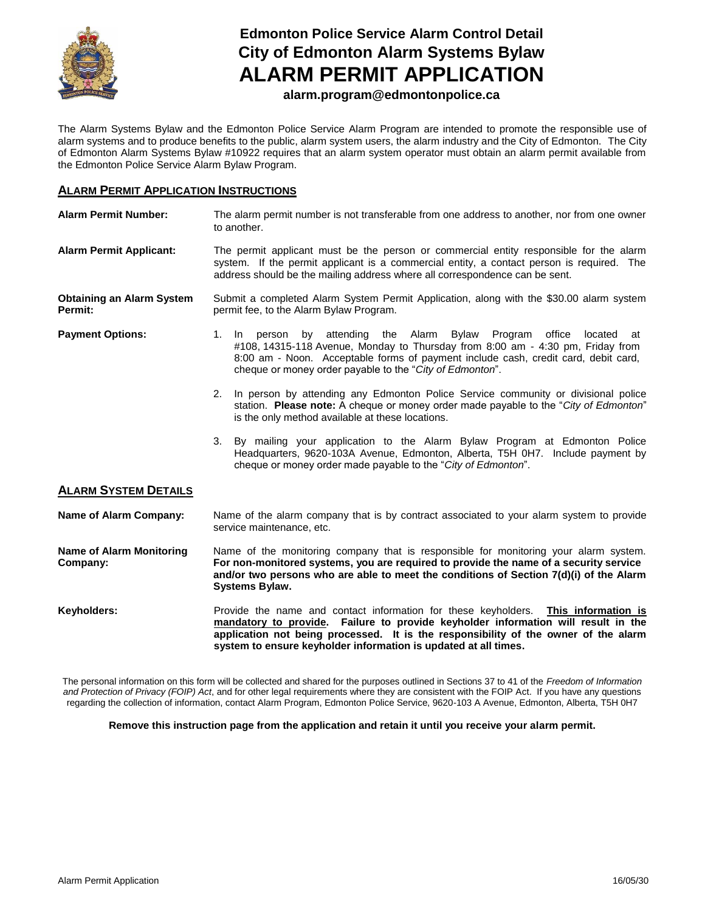

# **Edmonton Police Service Alarm Control Detail City of Edmonton Alarm Systems Bylaw ALARM PERMIT APPLICATION**

## **alarm.program@edmontonpolice.ca**

The Alarm Systems Bylaw and the Edmonton Police Service Alarm Program are intended to promote the responsible use of alarm systems and to produce benefits to the public, alarm system users, the alarm industry and the City of Edmonton. The City of Edmonton Alarm Systems Bylaw #10922 requires that an alarm system operator must obtain an alarm permit available from the Edmonton Police Service Alarm Bylaw Program.

#### **ALARM PERMIT APPLICATION INSTRUCTIONS**

| <b>Alarm Permit Number:</b>                 | The alarm permit number is not transferable from one address to another, nor from one owner<br>to another.                                                                                                                                                                                                          |  |  |  |
|---------------------------------------------|---------------------------------------------------------------------------------------------------------------------------------------------------------------------------------------------------------------------------------------------------------------------------------------------------------------------|--|--|--|
| <b>Alarm Permit Applicant:</b>              | The permit applicant must be the person or commercial entity responsible for the alarm<br>system. If the permit applicant is a commercial entity, a contact person is required. The<br>address should be the mailing address where all correspondence can be sent.                                                  |  |  |  |
| <b>Obtaining an Alarm System</b><br>Permit: | Submit a completed Alarm System Permit Application, along with the \$30.00 alarm system<br>permit fee, to the Alarm Bylaw Program.                                                                                                                                                                                  |  |  |  |
| <b>Payment Options:</b>                     | by attending the Alarm Bylaw Program<br>1. In person<br>office<br>located<br>at<br>#108, 14315-118 Avenue, Monday to Thursday from 8:00 am - 4:30 pm, Friday from<br>8:00 am - Noon. Acceptable forms of payment include cash, credit card, debit card,<br>cheque or money order payable to the "City of Edmonton". |  |  |  |
|                                             | 2. In person by attending any Edmonton Police Service community or divisional police<br>station. Please note: A cheque or money order made payable to the "City of Edmonton"<br>is the only method available at these locations.                                                                                    |  |  |  |
|                                             | By mailing your application to the Alarm Bylaw Program at Edmonton Police<br>3.<br>Headquarters, 9620-103A Avenue, Edmonton, Alberta, T5H 0H7. Include payment by<br>cheque or money order made payable to the "City of Edmonton".                                                                                  |  |  |  |
| <b>ALARM SYSTEM DETAILS</b>                 |                                                                                                                                                                                                                                                                                                                     |  |  |  |
| <b>Name of Alarm Company:</b>               | Name of the alarm company that is by contract associated to your alarm system to provide<br>service maintenance, etc.                                                                                                                                                                                               |  |  |  |
| <b>Name of Alarm Monitoring</b><br>Company: | Name of the monitoring company that is responsible for monitoring your alarm system.<br>For non-monitored systems, you are required to provide the name of a security service<br>and/or two persons who are able to meet the conditions of Section 7(d)(i) of the Alarm<br><b>Systems Bylaw.</b>                    |  |  |  |
| Keyholders:                                 | Provide the name and contact information for these keyholders. This information is<br>mandatory to provide. Failure to provide keyholder information will result in the<br>application not being processed. It is the responsibility of the owner of the alarm                                                      |  |  |  |

The personal information on this form will be collected and shared for the purposes outlined in Sections 37 to 41 of the *Freedom of Information and Protection of Privacy (FOIP) Act*, and for other legal requirements where they are consistent with the FOIP Act. If you have any questions regarding the collection of information, contact Alarm Program, Edmonton Police Service, 9620-103 A Avenue, Edmonton, Alberta, T5H 0H7

**system to ensure keyholder information is updated at all times.** 

**Remove this instruction page from the application and retain it until you receive your alarm permit.**